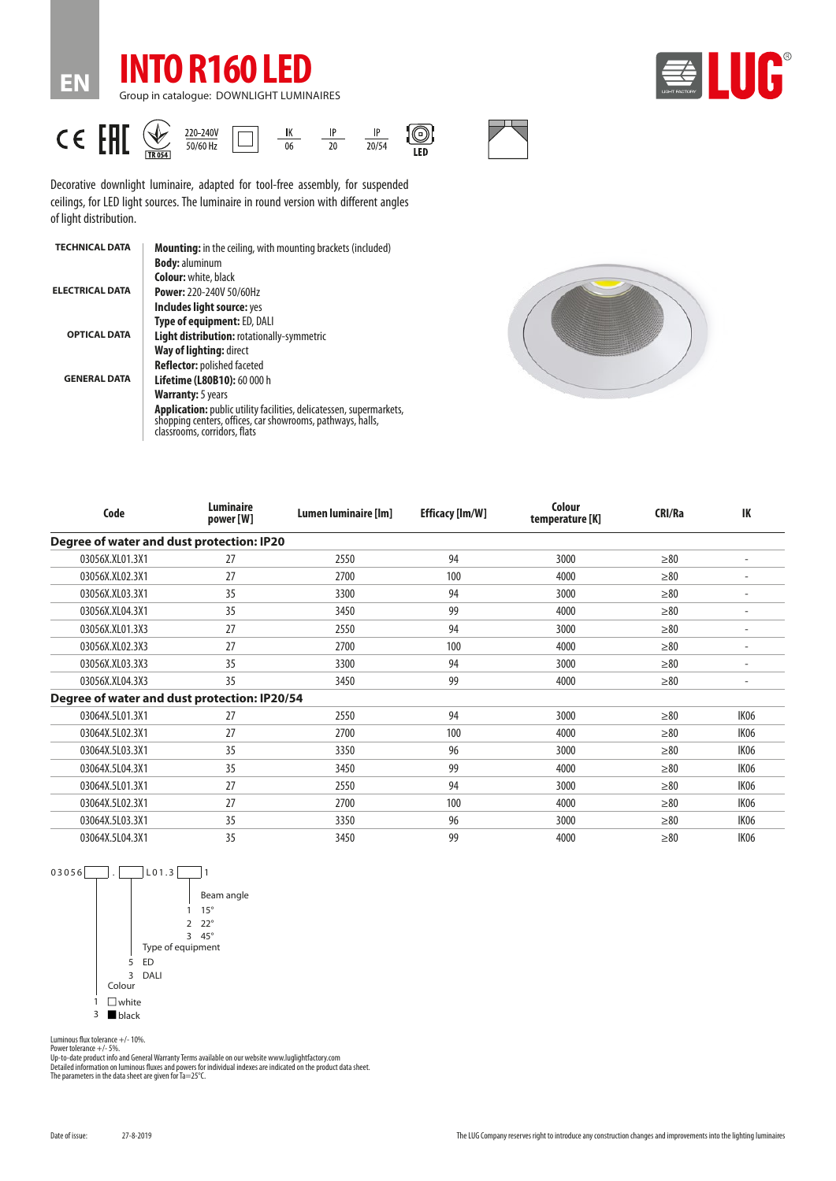





Decorative downlight luminaire, adapted for tool-free assembly, for suspended ceilings, for LED light sources. The luminaire in round version with different angles of light distribution.

| <b>TECHNICAL DATA</b>  | <b>Mounting:</b> in the ceiling, with mounting brackets (included)                                                                                                       |  |  |  |  |
|------------------------|--------------------------------------------------------------------------------------------------------------------------------------------------------------------------|--|--|--|--|
|                        | <b>Body: aluminum</b>                                                                                                                                                    |  |  |  |  |
|                        | <b>Colour:</b> white, black                                                                                                                                              |  |  |  |  |
| <b>ELECTRICAL DATA</b> | <b>Power: 220-240V 50/60Hz</b>                                                                                                                                           |  |  |  |  |
|                        | Includes light source: yes                                                                                                                                               |  |  |  |  |
|                        | Type of equipment: ED, DALI                                                                                                                                              |  |  |  |  |
| <b>OPTICAL DATA</b>    | <b>Light distribution: rotationally-symmetric</b>                                                                                                                        |  |  |  |  |
|                        | Way of lighting: direct                                                                                                                                                  |  |  |  |  |
|                        | <b>Reflector: polished faceted</b>                                                                                                                                       |  |  |  |  |
| <b>GENERAL DATA</b>    | <b>Lifetime (L80B10): 60 000 h</b>                                                                                                                                       |  |  |  |  |
|                        | <b>Warranty:</b> 5 years                                                                                                                                                 |  |  |  |  |
|                        | <b>Application:</b> public utility facilities, delicatessen, supermarkets,<br>shopping centers, offices, car showrooms, pathways, halls,<br>classrooms, corridors, flats |  |  |  |  |
|                        |                                                                                                                                                                          |  |  |  |  |



| Code                                         | Luminaire<br>power [W] | Lumen luminaire [lm] | <b>Efficacy [Im/W]</b> | Colour<br>temperature [K] | <b>CRI/Ra</b> | IK                       |
|----------------------------------------------|------------------------|----------------------|------------------------|---------------------------|---------------|--------------------------|
| Degree of water and dust protection: IP20    |                        |                      |                        |                           |               |                          |
| 03056X.XL01.3X1                              | 27                     | 2550                 | 94                     | 3000                      | $\geq 80$     |                          |
| 03056X.XL02.3X1                              | 27                     | 2700                 | 100                    | 4000                      | $\geq 80$     |                          |
| 03056X.XL03.3X1                              | 35                     | 3300                 | 94                     | 3000                      | $\geq 80$     | $\overline{\phantom{a}}$ |
| 03056X.XL04.3X1                              | 35                     | 3450                 | 99                     | 4000                      | $\geq 80$     | $\overline{\phantom{a}}$ |
| 03056X.XL01.3X3                              | 27                     | 2550                 | 94                     | 3000                      | $\geq 80$     | ٠                        |
| 03056X.XL02.3X3                              | 27                     | 2700                 | 100                    | 4000                      | $\geq 80$     |                          |
| 03056X.XL03.3X3                              | 35                     | 3300                 | 94                     | 3000                      | $\geq 80$     |                          |
| 03056X.XL04.3X3                              | 35                     | 3450                 | 99                     | 4000                      | $\geq 80$     | $\overline{\phantom{0}}$ |
| Degree of water and dust protection: IP20/54 |                        |                      |                        |                           |               |                          |
| 03064X.5L01.3X1                              | 27                     | 2550                 | 94                     | 3000                      | $\geq 80$     | IK06                     |
| 03064X.5L02.3X1                              | 27                     | 2700                 | 100                    | 4000                      | $\geq 80$     | IK06                     |
| 03064X.5L03.3X1                              | 35                     | 3350                 | 96                     | 3000                      | $\geq 80$     | IK06                     |
| 03064X.5L04.3X1                              | 35                     | 3450                 | 99                     | 4000                      | $\geq 80$     | IK06                     |
| 03064X.5L01.3X1                              | 27                     | 2550                 | 94                     | 3000                      | $\geq 80$     | IK06                     |
| 03064X.5L02.3X1                              | 27                     | 2700                 | 100                    | 4000                      | $\geq 80$     | IK06                     |
| 03064X.5L03.3X1                              | 35                     | 3350                 | 96                     | 3000                      | $\geq 80$     | IK06                     |
| 03064X.5L04.3X1                              | 35                     | 3450                 | 99                     | 4000                      | $\geq 80$     | IK06                     |



Luminous flux tolerance +/- 10%.

Power tolerance +/- 5%.<br>Up-to-date product info and General Warranty Terms available on our website www.luglightfactory.com<br>Detailed information on luminous fluxes and powers for individual indexes are indicated on the pro

27-8-2019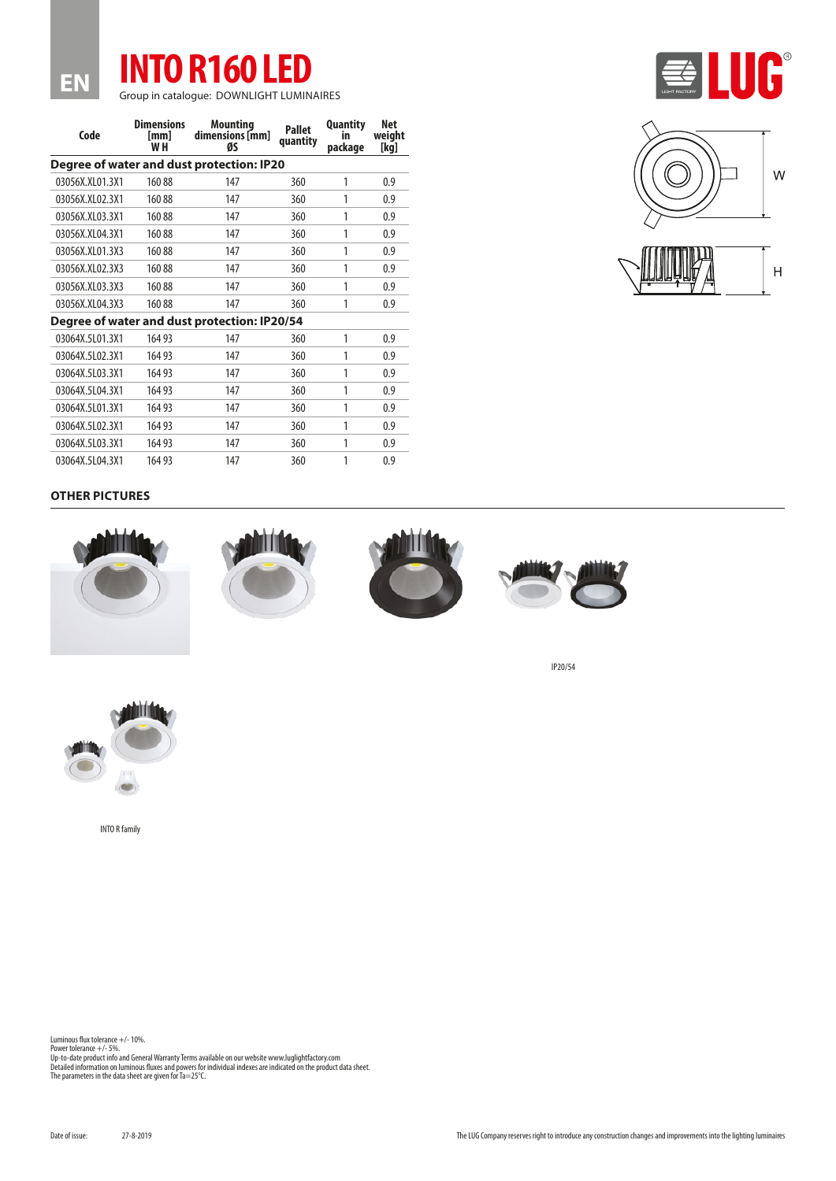

**Code Dimensions [mm] W H Mounting dimensions [mm] ØS Pallet quantity Quantity in package Net weight [kg] Degree of water and dust protection: IP20** 03056X.XL01.3X1 160 88 147 360 1 0.9 03056X.XL02.3X1 160 88 147 360 1 0.9 03056X.XL03.3X1 160 88 147 360 1 0.9 03056X.XL04.3X1 160 88 147 360 1 0.9 03056X.XL01.3X3 160 88 147 360 1 0.9 03056X.XL02.3X3 160 88 147 360 1 0.9 03056X.XL03.3X3 160 88 147 360 1 0.9 03056X.XL04.3X3 160 88 147 360 1 0.9 **Degree of water and dust protection: IP20/54** 03064X.5L01.3X1 164 93 147 360 1 0.9 03064X.5L02.3X1 164 93 147 360 1 0.9 03064X.5L03.3X1 164 93 147 360 1 0.9 03064X.5L04.3X1 164 93 147 360 1 0.9 03064X.5L01.3X1 164 93 147 360 1 0.9 03064X.5L02.3X1 164 93 147 360 1 0.9 03064X.5L03.3X1 164 93 147 360 1 0.9 03064X.5L04.3X1 164 93 147 360 1 0.9





## **OTHER PICTURES**

**EN**









IP20/54



INTO R family

Luminous flux tolerance +/- 10%. Power tolerance +/- 5%.

Up-to-date product info and General Warranty Terms available on our website www.luglightfactory.com<br>Detailed information on luminous fluxes and powers for individual indexes are indicated on the product data sheet.<br>The par